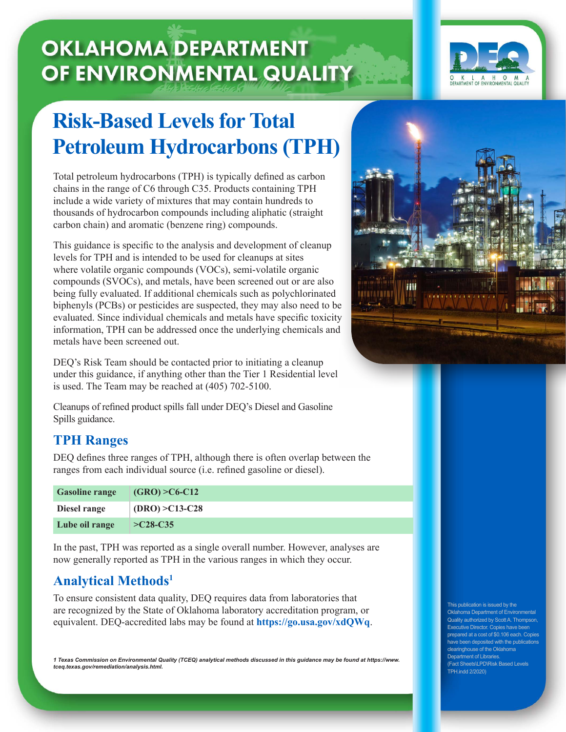# **OKLAHOMA DEPARTMENT** OF ENVIRONMENTAL QUALITY



## **Risk-Based Levels for Total Petroleum Hydrocarbons (TPH)**

Total petroleum hydrocarbons (TPH) is typically defined as carbon chains in the range of C6 through C35. Products containing TPH include a wide variety of mixtures that may contain hundreds to thousands of hydrocarbon compounds including aliphatic (straight carbon chain) and aromatic (benzene ring) compounds.

This guidance is specific to the analysis and development of cleanup levels for TPH and is intended to be used for cleanups at sites where volatile organic compounds (VOCs), semi-volatile organic compounds (SVOCs), and metals, have been screened out or are also being fully evaluated. If additional chemicals such as polychlorinated biphenyls (PCBs) or pesticides are suspected, they may also need to be evaluated. Since individual chemicals and metals have specific toxicity information, TPH can be addressed once the underlying chemicals and metals have been screened out.

DEQ's Risk Team should be contacted prior to initiating a cleanup under this guidance, if anything other than the Tier 1 Residential level is used. The Team may be reached at (405) 702-5100.

Cleanups of refined product spills fall under DEQ's Diesel and Gasoline Spills guidance.

#### **TPH Ranges**

DEQ defines three ranges of TPH, although there is often overlap between the ranges from each individual source (i.e. refined gasoline or diesel).

| <b>Gasoline range</b> | $(GRO) > C6-C12$  |
|-----------------------|-------------------|
| Diesel range          | $(DRO) > C13-C28$ |
| Lube oil range        | $>\sim$ 28-C35    |

In the past, TPH was reported as a single overall number. However, analyses are now generally reported as TPH in the various ranges in which they occur.

## **Analytical Methods1**

To ensure consistent data quality, DEQ requires data from laboratories that are recognized by the State of Oklahoma laboratory accreditation program, or equivalent. DEQ-accredited labs may be found at **https://go.usa.gov/xdQWq**.

*1 Texas Commission on Environmental Quality (TCEQ) analytical methods discussed in this guidance may be found at https://www. tceq.texas.gov/remediation/analysis.html.*



This publication is issued by the Oklahoma Department of Environmental Quality authorized by Scott A. Thompson, Executive Director. Copies have been prepared at a cost of \$0.106 each. Copies have been deposited with the publications clearinghouse of the Oklahoma Department of Libraries (Fact Sheets\LPD\Risk Based Levels TPH.indd 2/2020)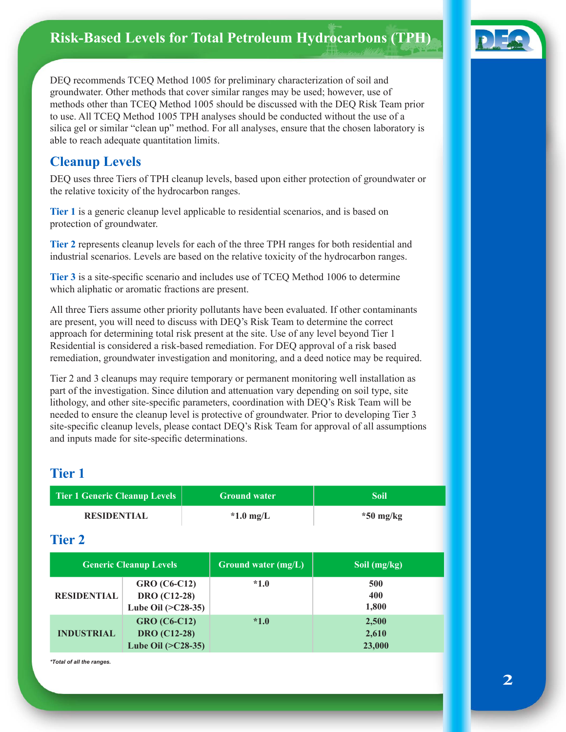## **Risk-Based Levels for Total Petroleum Hydrocarbons (TPH)**



DEQ recommends TCEQ Method 1005 for preliminary characterization of soil and groundwater. Other methods that cover similar ranges may be used; however, use of methods other than TCEQ Method 1005 should be discussed with the DEQ Risk Team prior to use. All TCEQ Method 1005 TPH analyses should be conducted without the use of a silica gel or similar "clean up" method. For all analyses, ensure that the chosen laboratory is able to reach adequate quantitation limits.

#### **Cleanup Levels**

DEQ uses three Tiers of TPH cleanup levels, based upon either protection of groundwater or the relative toxicity of the hydrocarbon ranges.

**Tier 1** is a generic cleanup level applicable to residential scenarios, and is based on protection of groundwater.

**Tier 2** represents cleanup levels for each of the three TPH ranges for both residential and industrial scenarios. Levels are based on the relative toxicity of the hydrocarbon ranges.

**Tier 3** is a site-specific scenario and includes use of TCEQ Method 1006 to determine which aliphatic or aromatic fractions are present.

All three Tiers assume other priority pollutants have been evaluated. If other contaminants are present, you will need to discuss with DEQ's Risk Team to determine the correct approach for determining total risk present at the site. Use of any level beyond Tier 1 Residential is considered a risk-based remediation. For DEQ approval of a risk based remediation, groundwater investigation and monitoring, and a deed notice may be required.

Tier 2 and 3 cleanups may require temporary or permanent monitoring well installation as part of the investigation. Since dilution and attenuation vary depending on soil type, site lithology, and other site-specific parameters, coordination with DEQ's Risk Team will be needed to ensure the cleanup level is protective of groundwater. Prior to developing Tier 3 site-specific cleanup levels, please contact DEQ's Risk Team for approval of all assumptions and inputs made for site-specific determinations.

#### **Tier 1**

| <b>Tier 1 Generic Cleanup Levels</b> |                                                                    |                       | <b>Ground water</b> | <b>Soil</b>              |  |
|--------------------------------------|--------------------------------------------------------------------|-----------------------|---------------------|--------------------------|--|
| <b>RESIDENTIAL</b>                   |                                                                    | $*1.0$ mg/L           |                     | $*50$ mg/kg              |  |
| <b>Tier 2</b>                        |                                                                    |                       |                     |                          |  |
| <b>Generic Cleanup Levels</b>        |                                                                    | Ground water $(mg/L)$ | Soil (mg/kg)        |                          |  |
| <b>RESIDENTIAL</b>                   | <b>GRO</b> (C6-C12)<br><b>DRO</b> (C12-28)<br>Lube Oil $(>C28-35)$ |                       | $*1.0$              | 500<br>400<br>1,800      |  |
| <b>INDUSTRIAL</b>                    | <b>GRO</b> (C6-C12)<br><b>DRO</b> (C12-28)<br>Lube Oil $(>C28-35)$ |                       | $*1.0$              | 2,500<br>2,610<br>23,000 |  |

*\*Total of all the ranges.*